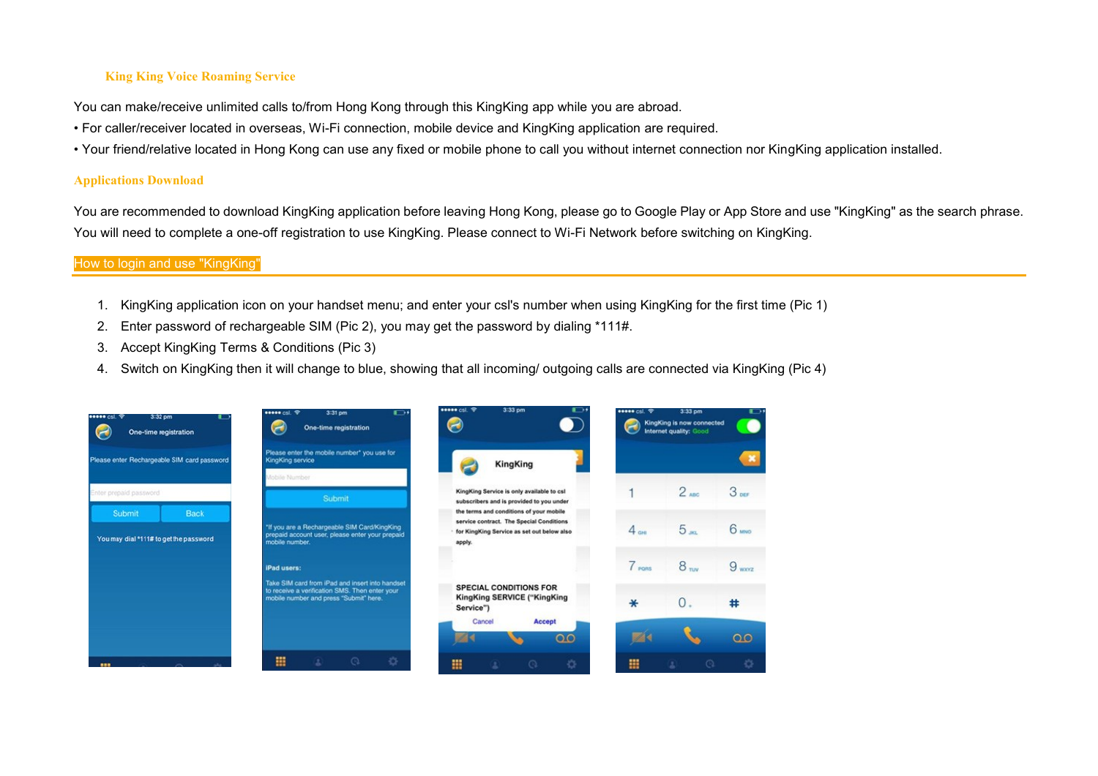### **King King Voice Roaming Service**

You can make/receive unlimited calls to/from Hong Kong through this KingKing app while you are abroad.

- For caller/receiver located in overseas, Wi-Fi connection, mobile device and KingKing application are required.
- Your friend/relative located in Hong Kong can use any fixed or mobile phone to call you without internet connection nor KingKing application installed.

#### **Applications Download**

You are recommended to download KingKing application before leaving Hong Kong, please go to Google Play or App Store and use "KingKing" as the search phrase. You will need to complete a one-off registration to use KingKing. Please connect to Wi-Fi Network before switching on KingKing.

#### How to login and use "KingKing"

- 1. KingKing application icon on your handset menu; and enter your csl's number when using KingKing for the first time (Pic 1)
- 2. Enter password of rechargeable SIM (Pic 2), you may get the password by dialing \*111#.
- 3. Accept KingKing Terms & Conditions (Pic 3)
- 4. Switch on KingKing then it will change to blue, showing that all incoming/ outgoing calls are connected via KingKing (Pic 4)